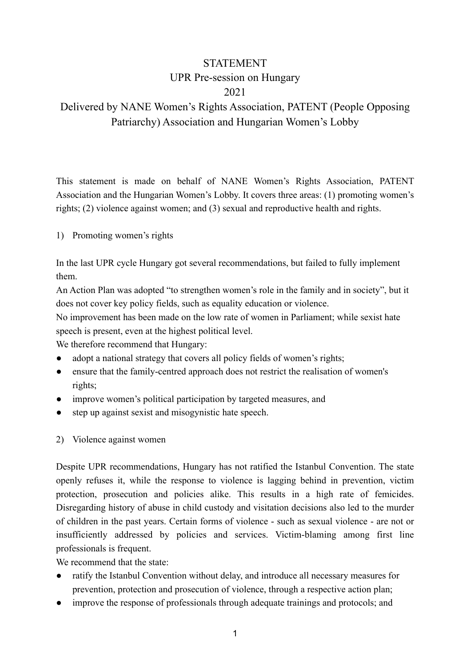## STATEMENT UPR Pre-session on Hungary 2021

## Delivered by NANE Women's Rights Association, PATENT (People Opposing Patriarchy) Association and Hungarian Women's Lobby

This statement is made on behalf of NANE Women's Rights Association, PATENT Association and the Hungarian Women's Lobby. It covers three areas: (1) promoting women's rights; (2) violence against women; and (3) sexual and reproductive health and rights.

1) Promoting women's rights

In the last UPR cycle Hungary got several recommendations, but failed to fully implement them.

An Action Plan was adopted "to strengthen women's role in the family and in society", but it does not cover key policy fields, such as equality education or violence.

No improvement has been made on the low rate of women in Parliament; while sexist hate speech is present, even at the highest political level.

We therefore recommend that Hungary:

- adopt a national strategy that covers all policy fields of women's rights;
- ensure that the family-centred approach does not restrict the realisation of women's rights;
- improve women's political participation by targeted measures, and
- step up against sexist and misogynistic hate speech.
- 2) Violence against women

Despite UPR recommendations, Hungary has not ratified the Istanbul Convention. The state openly refuses it, while the response to violence is lagging behind in prevention, victim protection, prosecution and policies alike. This results in a high rate of femicides. Disregarding history of abuse in child custody and visitation decisions also led to the murder of children in the past years. Certain forms of violence - such as sexual violence - are not or insufficiently addressed by policies and services. Victim-blaming among first line professionals is frequent.

We recommend that the state:

- ratify the Istanbul Convention without delay, and introduce all necessary measures for prevention, protection and prosecution of violence, through a respective action plan;
- improve the response of professionals through adequate trainings and protocols; and